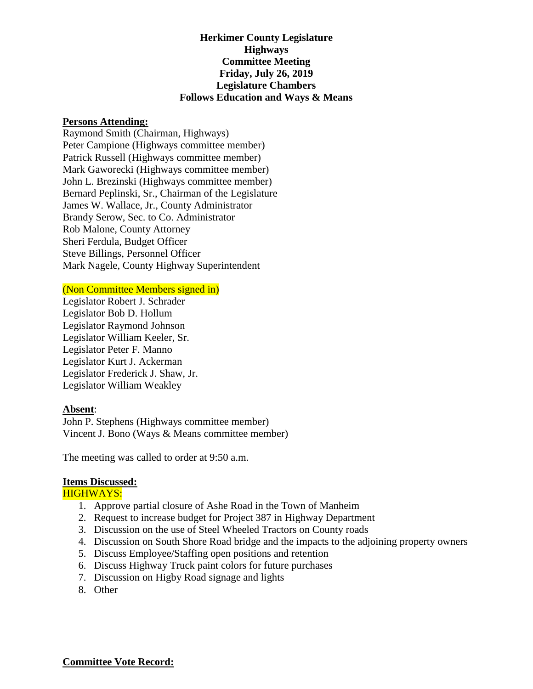# **Herkimer County Legislature Highways Committee Meeting Friday, July 26, 2019 Legislature Chambers Follows Education and Ways & Means**

# **Persons Attending:**

Raymond Smith (Chairman, Highways) Peter Campione (Highways committee member) Patrick Russell (Highways committee member) Mark Gaworecki (Highways committee member) John L. Brezinski (Highways committee member) Bernard Peplinski, Sr., Chairman of the Legislature James W. Wallace, Jr., County Administrator Brandy Serow, Sec. to Co. Administrator Rob Malone, County Attorney Sheri Ferdula, Budget Officer Steve Billings, Personnel Officer Mark Nagele, County Highway Superintendent

## (Non Committee Members signed in)

Legislator Robert J. Schrader Legislator Bob D. Hollum Legislator Raymond Johnson Legislator William Keeler, Sr. Legislator Peter F. Manno Legislator Kurt J. Ackerman Legislator Frederick J. Shaw, Jr. Legislator William Weakley

### **Absent**:

John P. Stephens (Highways committee member) Vincent J. Bono (Ways & Means committee member)

The meeting was called to order at 9:50 a.m.

#### **Items Discussed:**

#### HIGHWAYS:

- 1. Approve partial closure of Ashe Road in the Town of Manheim
- 2. Request to increase budget for Project 387 in Highway Department
- 3. Discussion on the use of Steel Wheeled Tractors on County roads
- 4. Discussion on South Shore Road bridge and the impacts to the adjoining property owners
- 5. Discuss Employee/Staffing open positions and retention
- 6. Discuss Highway Truck paint colors for future purchases
- 7. Discussion on Higby Road signage and lights
- 8. Other